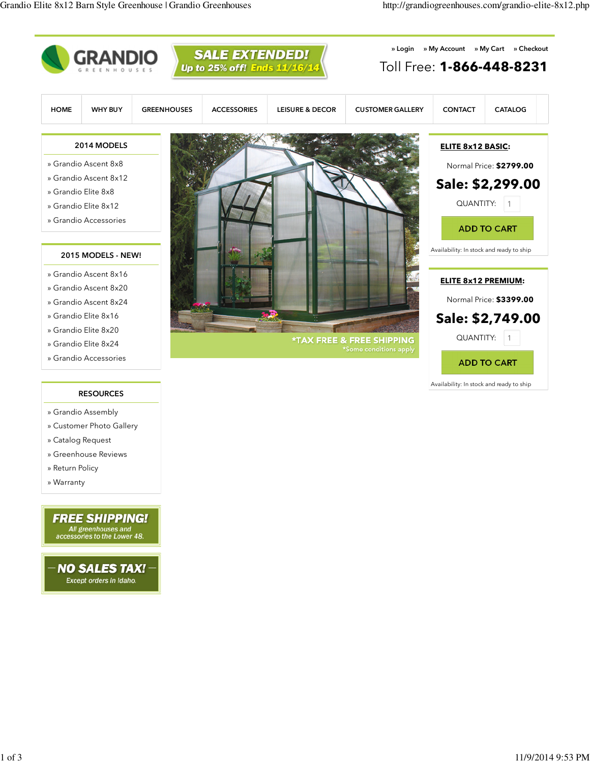

- » Customer Photo Gallery
- » Catalog Request
- » Greenhouse Reviews
- » Return Policy
- » Warranty

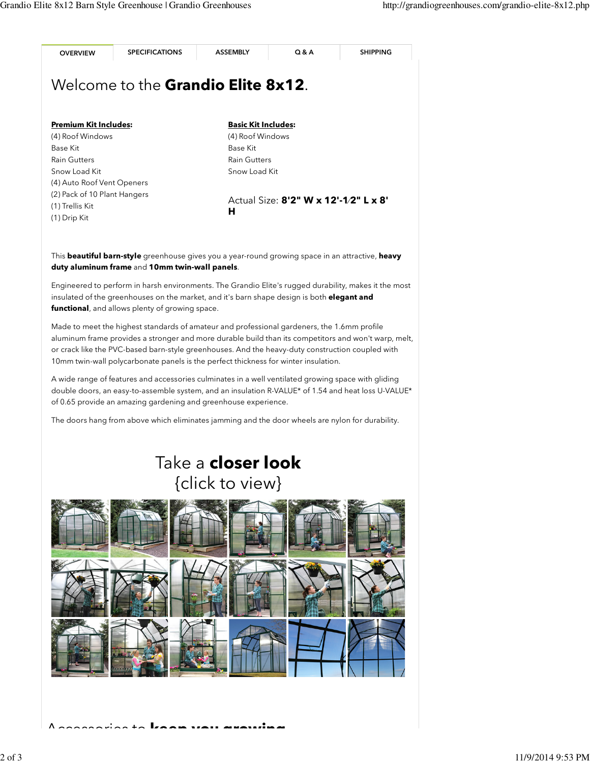

A wide range of features and accessories culminates in a well ventilated growing space with gliding double doors, an easy-to-assemble system, and an insulation R-VALUE\* of 1.54 and heat loss U-VALUE\* of 0.65 provide an amazing gardening and greenhouse experience.

The doors hang from above which eliminates jamming and the door wheels are nylon for durability.

## Take a **closer look** {click to view}



 $\overline{A}$  and  $\overline{B}$  and  $\overline{B}$